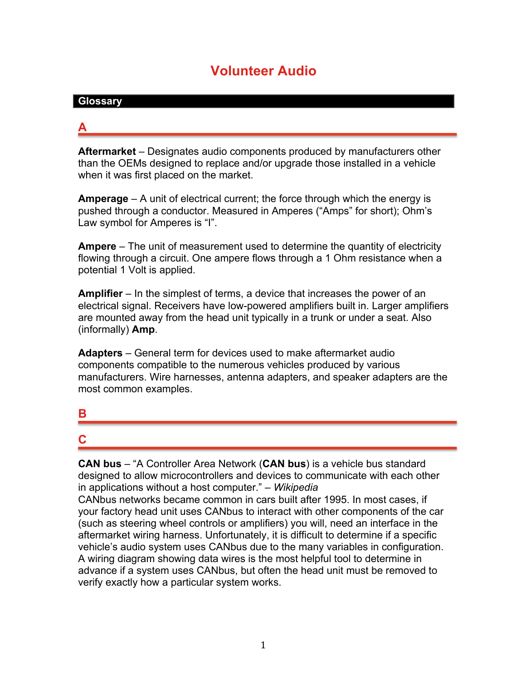# **Volunteer Audio**

#### **Glossary**

## **A**

**Aftermarket** – Designates audio components produced by manufacturers other than the OEMs designed to replace and/or upgrade those installed in a vehicle when it was first placed on the market.

**Amperage** – A unit of electrical current; the force through which the energy is pushed through a conductor. Measured in Amperes ("Amps" for short); Ohm's Law symbol for Amperes is "I".

**Ampere** – The unit of measurement used to determine the quantity of electricity flowing through a circuit. One ampere flows through a 1 Ohm resistance when a potential 1 Volt is applied.

**Amplifier** – In the simplest of terms, a device that increases the power of an electrical signal. Receivers have low-powered amplifiers built in. Larger amplifiers are mounted away from the head unit typically in a trunk or under a seat. Also (informally) **Amp**.

**Adapters** – General term for devices used to make aftermarket audio components compatible to the numerous vehicles produced by various manufacturers. Wire harnesses, antenna adapters, and speaker adapters are the most common examples.

#### **B**

# **C**

**CAN bus** – "A Controller Area Network (**CAN bus**) is a vehicle bus standard designed to allow microcontrollers and devices to communicate with each other in applications without a host computer." – *Wikipedia*

CANbus networks became common in cars built after 1995. In most cases, if your factory head unit uses CANbus to interact with other components of the car (such as steering wheel controls or amplifiers) you will, need an interface in the aftermarket wiring harness. Unfortunately, it is difficult to determine if a specific vehicle's audio system uses CANbus due to the many variables in configuration. A wiring diagram showing data wires is the most helpful tool to determine in advance if a system uses CANbus, but often the head unit must be removed to verify exactly how a particular system works.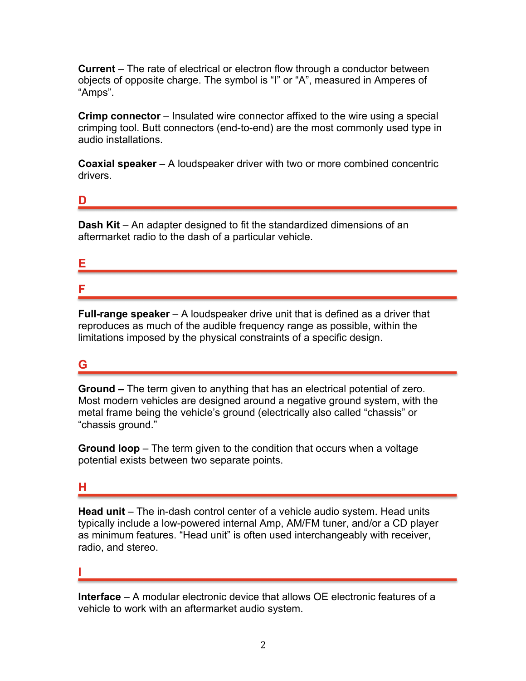**Current** – The rate of electrical or electron flow through a conductor between objects of opposite charge. The symbol is "I" or "A", measured in Amperes of "Amps".

**Crimp connector** – Insulated wire connector affixed to the wire using a special crimping tool. Butt connectors (end-to-end) are the most commonly used type in audio installations.

**Coaxial speaker** – A loudspeaker driver with two or more combined concentric drivers.

#### **D**

**Dash Kit** – An adapter designed to fit the standardized dimensions of an aftermarket radio to the dash of a particular vehicle.

#### **E**

**F**

**Full-range speaker** – A loudspeaker drive unit that is defined as a driver that reproduces as much of the audible frequency range as possible, within the limitations imposed by the physical constraints of a specific design.

## **G**

**Ground –** The term given to anything that has an electrical potential of zero. Most modern vehicles are designed around a negative ground system, with the metal frame being the vehicle's ground (electrically also called "chassis" or "chassis ground."

**Ground loop** – The term given to the condition that occurs when a voltage potential exists between two separate points.

#### **H**

**Head unit** – The in-dash control center of a vehicle audio system. Head units typically include a low-powered internal Amp, AM/FM tuner, and/or a CD player as minimum features. "Head unit" is often used interchangeably with receiver, radio, and stereo.

**I**

**Interface** – A modular electronic device that allows OE electronic features of a vehicle to work with an aftermarket audio system.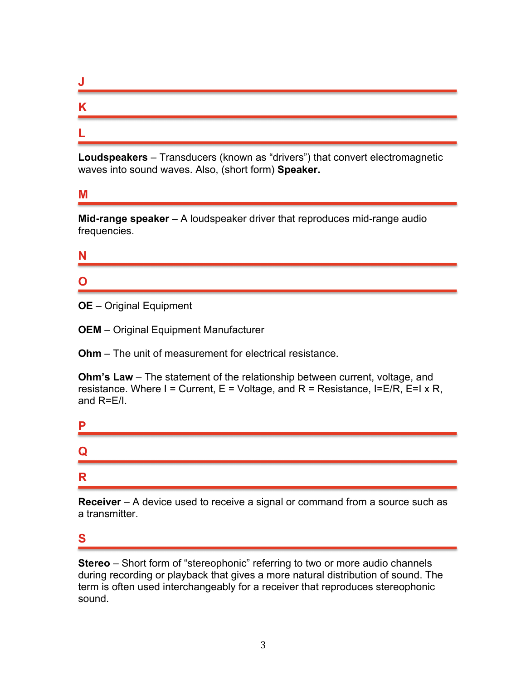| w |  |
|---|--|
| R |  |
|   |  |

**Loudspeakers** – Transducers (known as "drivers") that convert electromagnetic waves into sound waves. Also, (short form) **Speaker.**

#### **M**

**Mid-range speaker** – A loudspeaker driver that reproduces mid-range audio frequencies.

## **N**

# **O**

- **OE** Original Equipment
- **OEM** Original Equipment Manufacturer

**Ohm** – The unit of measurement for electrical resistance.

**Ohm's Law** – The statement of the relationship between current, voltage, and resistance. Where  $I =$  Current,  $E =$  Voltage, and  $R =$  Resistance, I=E/R, E=I x R, and R=E/I.

| P |  |  |
|---|--|--|
| Q |  |  |
| R |  |  |

**Receiver** – A device used to receive a signal or command from a source such as a transmitter.

## **S**

**Stereo** – Short form of "stereophonic" referring to two or more audio channels during recording or playback that gives a more natural distribution of sound. The term is often used interchangeably for a receiver that reproduces stereophonic sound.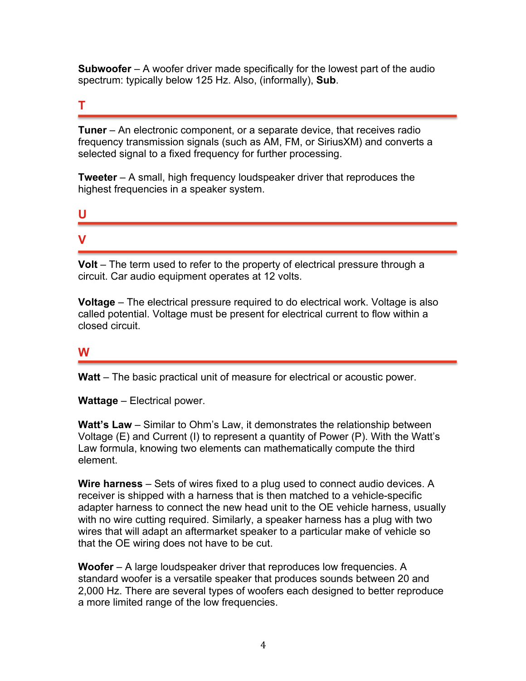**Subwoofer** – A woofer driver made specifically for the lowest part of the audio spectrum: typically below 125 Hz. Also, (informally), **Sub**.

## **T**

**Tuner** – An electronic component, or a separate device, that receives radio frequency transmission signals (such as AM, FM, or SiriusXM) and converts a selected signal to a fixed frequency for further processing.

**Tweeter** – A small, high frequency loudspeaker driver that reproduces the highest frequencies in a speaker system.

#### **U**

## **V**

**Volt** – The term used to refer to the property of electrical pressure through a circuit. Car audio equipment operates at 12 volts.

**Voltage** – The electrical pressure required to do electrical work. Voltage is also called potential. Voltage must be present for electrical current to flow within a closed circuit.

#### **W**

**Watt** – The basic practical unit of measure for electrical or acoustic power.

**Wattage** – Electrical power.

**Watt's Law** – Similar to Ohm's Law, it demonstrates the relationship between Voltage (E) and Current (I) to represent a quantity of Power (P). With the Watt's Law formula, knowing two elements can mathematically compute the third element.

**Wire harness** – Sets of wires fixed to a plug used to connect audio devices. A receiver is shipped with a harness that is then matched to a vehicle-specific adapter harness to connect the new head unit to the OE vehicle harness, usually with no wire cutting required. Similarly, a speaker harness has a plug with two wires that will adapt an aftermarket speaker to a particular make of vehicle so that the OE wiring does not have to be cut.

**Woofer** – A large loudspeaker driver that reproduces low frequencies. A standard woofer is a versatile speaker that produces sounds between 20 and 2,000 Hz. There are several types of woofers each designed to better reproduce a more limited range of the low frequencies.